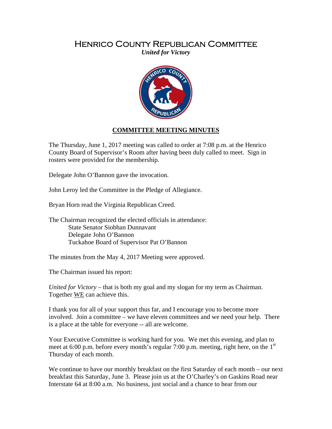## Henrico County Republican Committee

*United for Victory* 



## **COMMITTEE MEETING MINUTES**

The Thursday, June 1, 2017 meeting was called to order at 7:08 p.m. at the Henrico County Board of Supervisor's Room after having been duly called to meet. Sign in rosters were provided for the membership.

Delegate John O'Bannon gave the invocation.

John Leroy led the Committee in the Pledge of Allegiance.

Bryan Horn read the Virginia Republican Creed.

The Chairman recognized the elected officials in attendance: State Senator Siobhan Dunnavant Delegate John O'Bannon Tuckahoe Board of Supervisor Pat O'Bannon

The minutes from the May 4, 2017 Meeting were approved.

The Chairman issued his report:

*United for Victory* – that is both my goal and my slogan for my term as Chairman. Together WE can achieve this.

I thank you for all of your support thus far, and I encourage you to become more involved. Join a committee – we have eleven committees and we need your help. There is a place at the table for everyone -- all are welcome.

Your Executive Committee is working hard for you. We met this evening, and plan to meet at 6:00 p.m. before every month's regular 7:00 p.m. meeting, right here, on the  $1<sup>st</sup>$ Thursday of each month.

We continue to have our monthly breakfast on the first Saturday of each month – our next breakfast this Saturday, June 3. Please join us at the O'Charley's on Gaskins Road near Interstate 64 at 8:00 a.m. No business, just social and a chance to hear from our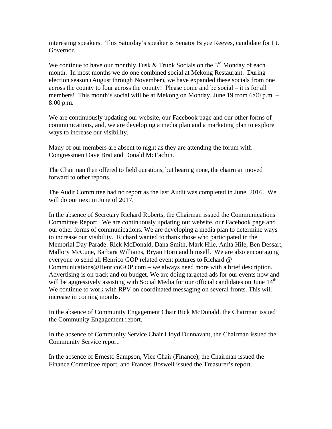interesting speakers. This Saturday's speaker is Senator Bryce Reeves, candidate for Lt. Governor.

We continue to have our monthly Tusk & Trunk Socials on the  $3<sup>rd</sup>$  Monday of each month. In most months we do one combined social at Mekong Restaurant. During election season (August through November), we have expanded these socials from one across the county to four across the county! Please come and be social – it is for all members! This month's social will be at Mekong on Monday, June 19 from 6:00 p.m. – 8:00 p.m.

We are continuously updating our website, our Facebook page and our other forms of communications, and, we are developing a media plan and a marketing plan to explore ways to increase our visibility.

Many of our members are absent to night as they are attending the forum with Congressmen Dave Brat and Donald McEachin.

The Chairman then offered to field questions, but hearing none, the chairman moved forward to other reports.

The Audit Committee had no report as the last Audit was completed in June, 2016. We will do our next in June of 2017.

In the absence of Secretary Richard Roberts, the Chairman issued the Communications Committee Report. We are continuously updating our website, our Facebook page and our other forms of communications. We are developing a media plan to determine ways to increase our visibility. Richard wanted to thank those who participated in the Memorial Day Parade: Rick McDonald, Dana Smith, Mark Hile, Anita Hile, Ben Dessart, Mallory McCune, Barbara Williams, Bryan Horn and himself. We are also encouraging everyone to send all Henrico GOP related event pictures to Richard @ Communications@HenricoGOP.com – we always need more with a brief description. Advertising is on track and on budget. We are doing targeted ads for our events now and will be aggressively assisting with Social Media for our official candidates on June 14<sup>th.</sup> We continue to work with RPV on coordinated messaging on several fronts. This will increase in coming months.

In the absence of Community Engagement Chair Rick McDonald, the Chairman issued the Community Engagement report.

In the absence of Community Service Chair Lloyd Dunnavant, the Chairman issued the Community Service report.

In the absence of Ernesto Sampson, Vice Chair (Finance), the Chairman issued the Finance Committee report, and Frances Boswell issued the Treasurer's report.